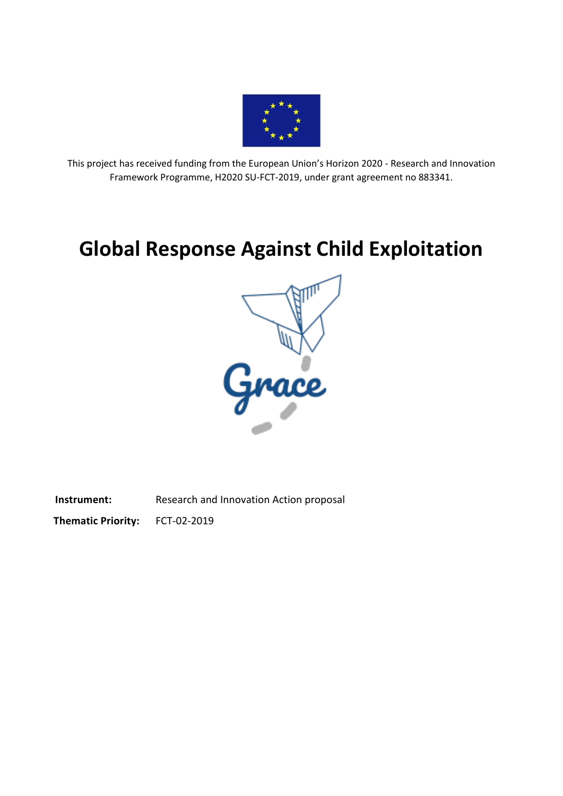

This project has received funding from the European Union's Horizon 2020 - Research and Innovation Framework Programme, H2020 SU-FCT-2019, under grant agreement no 883341.

# **Global Response Against Child Exploitation**



**Instrument:** Research and Innovation Action proposal

**Thematic Priority:** FCT-02-2019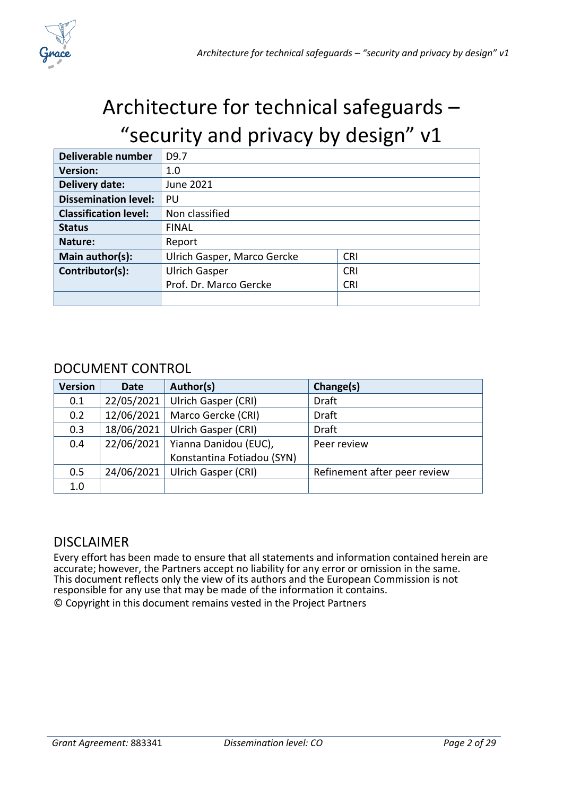

# Architecture for technical safeguards – "security and privacy by design" v1

| Deliverable number           | D <sub>9.7</sub>            |            |
|------------------------------|-----------------------------|------------|
| <b>Version:</b>              | 1.0                         |            |
| Delivery date:               | June 2021                   |            |
| <b>Dissemination level:</b>  | PU                          |            |
| <b>Classification level:</b> | Non classified              |            |
| <b>Status</b>                | <b>FINAL</b>                |            |
| Nature:                      | Report                      |            |
| Main author(s):              | Ulrich Gasper, Marco Gercke | <b>CRI</b> |
| Contributor(s):              | <b>Ulrich Gasper</b>        | <b>CRI</b> |
|                              | Prof. Dr. Marco Gercke      | <b>CRI</b> |
|                              |                             |            |

#### DOCUMENT CONTROL

| <b>Version</b> | <b>Date</b> | Author(s)                  | Change(s)                    |
|----------------|-------------|----------------------------|------------------------------|
| 0.1            | 22/05/2021  | <b>Ulrich Gasper (CRI)</b> | <b>Draft</b>                 |
| 0.2            | 12/06/2021  | Marco Gercke (CRI)         | <b>Draft</b>                 |
| 0.3            | 18/06/2021  | Ulrich Gasper (CRI)        | <b>Draft</b>                 |
| 0.4            | 22/06/2021  | Yianna Danidou (EUC),      | Peer review                  |
|                |             | Konstantina Fotiadou (SYN) |                              |
| 0.5            | 24/06/2021  | <b>Ulrich Gasper (CRI)</b> | Refinement after peer review |
| 1.0            |             |                            |                              |

#### **DISCLAIMER**

Every effort has been made to ensure that all statements and information contained herein are accurate; however, the Partners accept no liability for any error or omission in the same. This document reflects only the view of its authors and the European Commission is not responsible for any use that may be made of the information it contains. © Copyright in this document remains vested in the Project Partners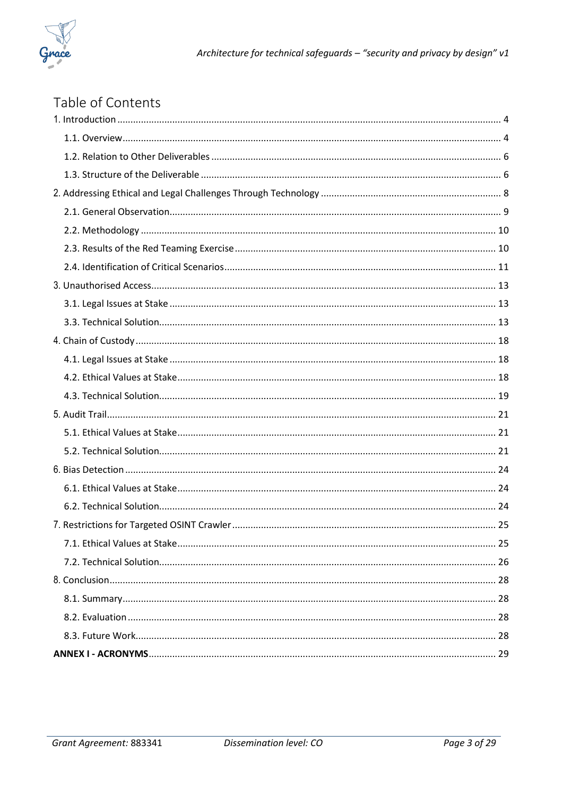

| Table of Contents |  |
|-------------------|--|
|                   |  |
|                   |  |
|                   |  |
|                   |  |
|                   |  |
|                   |  |
|                   |  |
|                   |  |
|                   |  |
|                   |  |
|                   |  |
|                   |  |
|                   |  |
|                   |  |
|                   |  |
|                   |  |
|                   |  |
|                   |  |
|                   |  |
|                   |  |
|                   |  |
|                   |  |
|                   |  |
|                   |  |
|                   |  |
|                   |  |
|                   |  |
|                   |  |
|                   |  |
|                   |  |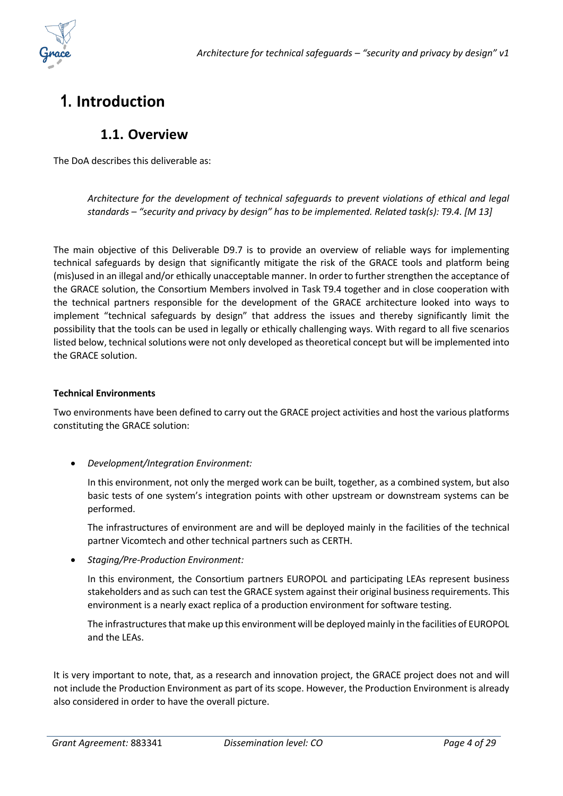

## <span id="page-3-1"></span><span id="page-3-0"></span>**1. Introduction**

#### **1.1. Overview**

The DoA describes this deliverable as:

*Architecture for the development of technical safeguards to prevent violations of ethical and legal standards – "security and privacy by design" has to be implemented. Related task(s): T9.4. [M 13]*

The main objective of this Deliverable D9.7 is to provide an overview of reliable ways for implementing technical safeguards by design that significantly mitigate the risk of the GRACE tools and platform being (mis)used in an illegal and/or ethically unacceptable manner. In order to further strengthen the acceptance of the GRACE solution, the Consortium Members involved in Task T9.4 together and in close cooperation with the technical partners responsible for the development of the GRACE architecture looked into ways to implement "technical safeguards by design" that address the issues and thereby significantly limit the possibility that the tools can be used in legally or ethically challenging ways. With regard to all five scenarios listed below, technical solutions were not only developed as theoretical concept but will be implemented into the GRACE solution.

#### **Technical Environments**

Two environments have been defined to carry out the GRACE project activities and host the various platforms constituting the GRACE solution:

• *Development/Integration Environment:*

In this environment, not only the merged work can be built, together, as a combined system, but also basic tests of one system's integration points with other upstream or downstream systems can be performed.

The infrastructures of environment are and will be deployed mainly in the facilities of the technical partner Vicomtech and other technical partners such as CERTH.

• *Staging/Pre-Production Environment:*

In this environment, the Consortium partners EUROPOL and participating LEAs represent business stakeholders and as such can test the GRACE system against their original business requirements. This environment is a nearly exact replica of a production environment for software testing.

The infrastructures that make up this environment will be deployed mainly in the facilities of EUROPOL and the LEAs.

It is very important to note, that, as a research and innovation project, the GRACE project does not and will not include the Production Environment as part of its scope. However, the Production Environment is already also considered in order to have the overall picture.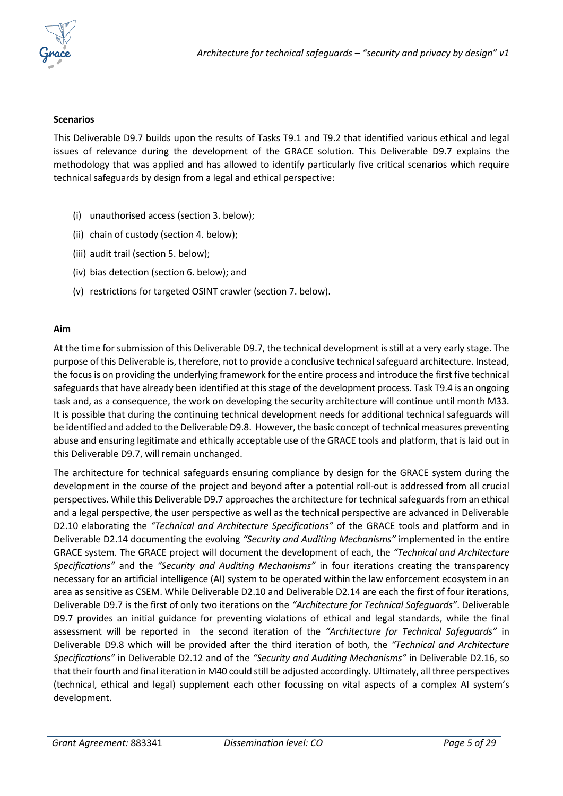

#### **Scenarios**

This Deliverable D9.7 builds upon the results of Tasks T9.1 and T9.2 that identified various ethical and legal issues of relevance during the development of the GRACE solution. This Deliverable D9.7 explains the methodology that was applied and has allowed to identify particularly five critical scenarios which require technical safeguards by design from a legal and ethical perspective:

- (i) unauthorised access (section 3. below);
- (ii) chain of custody (section 4. below);
- (iii) audit trail (section 5. below);
- (iv) bias detection (section 6. below); and
- (v) restrictions for targeted OSINT crawler (section 7. below).

#### **Aim**

At the time for submission of this Deliverable D9.7, the technical development is still at a very early stage. The purpose of this Deliverable is, therefore, not to provide a conclusive technical safeguard architecture. Instead, the focus is on providing the underlying framework for the entire process and introduce the first five technical safeguards that have already been identified at this stage of the development process. Task T9.4 is an ongoing task and, as a consequence, the work on developing the security architecture will continue until month M33. It is possible that during the continuing technical development needs for additional technical safeguards will be identified and added to the Deliverable D9.8. However, the basic concept of technical measures preventing abuse and ensuring legitimate and ethically acceptable use of the GRACE tools and platform, that is laid out in this Deliverable D9.7, will remain unchanged.

The architecture for technical safeguards ensuring compliance by design for the GRACE system during the development in the course of the project and beyond after a potential roll-out is addressed from all crucial perspectives. While this Deliverable D9.7 approaches the architecture for technical safeguards from an ethical and a legal perspective, the user perspective as well as the technical perspective are advanced in Deliverable D2.10 elaborating the *"Technical and Architecture Specifications"* of the GRACE tools and platform and in Deliverable D2.14 documenting the evolving *"Security and Auditing Mechanisms"* implemented in the entire GRACE system. The GRACE project will document the development of each, the *"Technical and Architecture Specifications"* and the *"Security and Auditing Mechanisms"* in four iterations creating the transparency necessary for an artificial intelligence (AI) system to be operated within the law enforcement ecosystem in an area as sensitive as CSEM. While Deliverable D2.10 and Deliverable D2.14 are each the first of four iterations, Deliverable D9.7 is the first of only two iterations on the *"Architecture for Technical Safeguards"*. Deliverable D9.7 provides an initial guidance for preventing violations of ethical and legal standards, while the final assessment will be reported in the second iteration of the *"Architecture for Technical Safeguards"* in Deliverable D9.8 which will be provided after the third iteration of both, the *"Technical and Architecture Specifications"* in Deliverable D2.12 and of the *"Security and Auditing Mechanisms"* in Deliverable D2.16, so that their fourth and final iteration in M40 could still be adjusted accordingly. Ultimately, all three perspectives (technical, ethical and legal) supplement each other focussing on vital aspects of a complex AI system's development.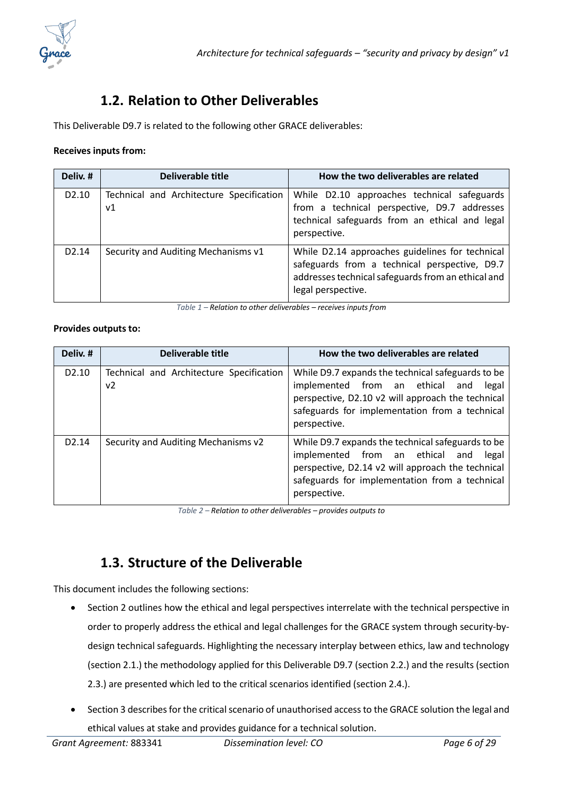

### **1.2. Relation to Other Deliverables**

<span id="page-5-0"></span>This Deliverable D9.7 is related to the following other GRACE deliverables:

#### **Receives inputs from:**

| Deliv. #          | Deliverable title                              | How the two deliverables are related                                                                                                                                         |
|-------------------|------------------------------------------------|------------------------------------------------------------------------------------------------------------------------------------------------------------------------------|
| D <sub>2.10</sub> | Technical and Architecture Specification<br>ν1 | While D2.10 approaches technical safeguards<br>from a technical perspective, D9.7 addresses<br>technical safeguards from an ethical and legal<br>perspective.                |
| D <sub>2.14</sub> | Security and Auditing Mechanisms v1            | While D2.14 approaches guidelines for technical<br>safeguards from a technical perspective, D9.7<br>addresses technical safeguards from an ethical and<br>legal perspective. |

*Table 1 – Relation to other deliverables – receives inputs from*

#### **Provides outputs to:**

| Deliv. #          | Deliverable title                              | How the two deliverables are related                                                                                                                                                                                 |
|-------------------|------------------------------------------------|----------------------------------------------------------------------------------------------------------------------------------------------------------------------------------------------------------------------|
| D <sub>2.10</sub> | Technical and Architecture Specification<br>ν2 | While D9.7 expands the technical safeguards to be<br>implemented from an ethical and<br>legal<br>perspective, D2.10 v2 will approach the technical<br>safeguards for implementation from a technical<br>perspective. |
| D <sub>2.14</sub> | Security and Auditing Mechanisms v2            | While D9.7 expands the technical safeguards to be<br>implemented from an ethical and<br>legal<br>perspective, D2.14 v2 will approach the technical<br>safeguards for implementation from a technical<br>perspective. |

*Table 2 – Relation to other deliverables – provides outputs to*

### **1.3. Structure of the Deliverable**

<span id="page-5-1"></span>This document includes the following sections:

- Section 2 outlines how the ethical and legal perspectives interrelate with the technical perspective in order to properly address the ethical and legal challenges for the GRACE system through security-bydesign technical safeguards. Highlighting the necessary interplay between ethics, law and technology (section 2.1.) the methodology applied for this Deliverable D9.7 (section 2.2.) and the results (section 2.3.) are presented which led to the critical scenarios identified (section 2.4.).
- Section 3 describes for the critical scenario of unauthorised accessto the GRACE solution the legal and ethical values at stake and provides guidance for a technical solution.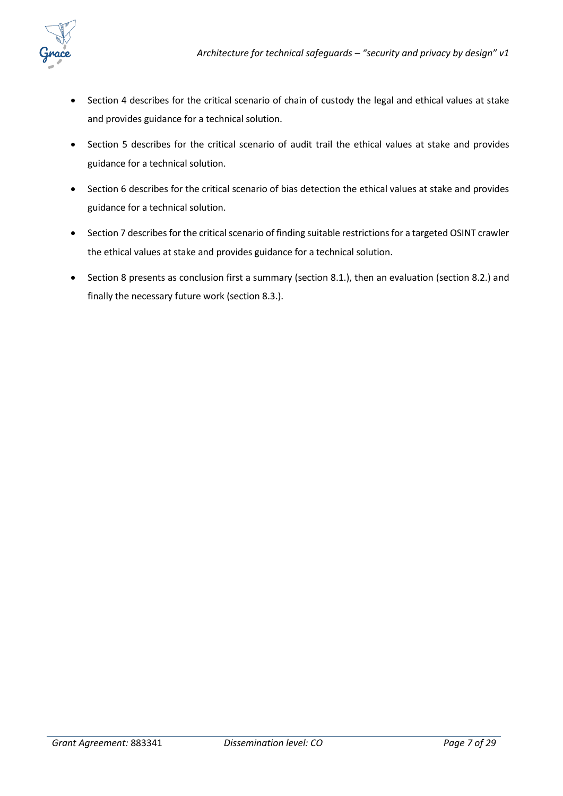

- Section 4 describes for the critical scenario of chain of custody the legal and ethical values at stake and provides guidance for a technical solution.
- Section 5 describes for the critical scenario of audit trail the ethical values at stake and provides guidance for a technical solution.
- Section 6 describes for the critical scenario of bias detection the ethical values at stake and provides guidance for a technical solution.
- Section 7 describes for the critical scenario of finding suitable restrictions for a targeted OSINT crawler the ethical values at stake and provides guidance for a technical solution.
- Section 8 presents as conclusion first a summary (section 8.1.), then an evaluation (section 8.2.) and finally the necessary future work (section 8.3.).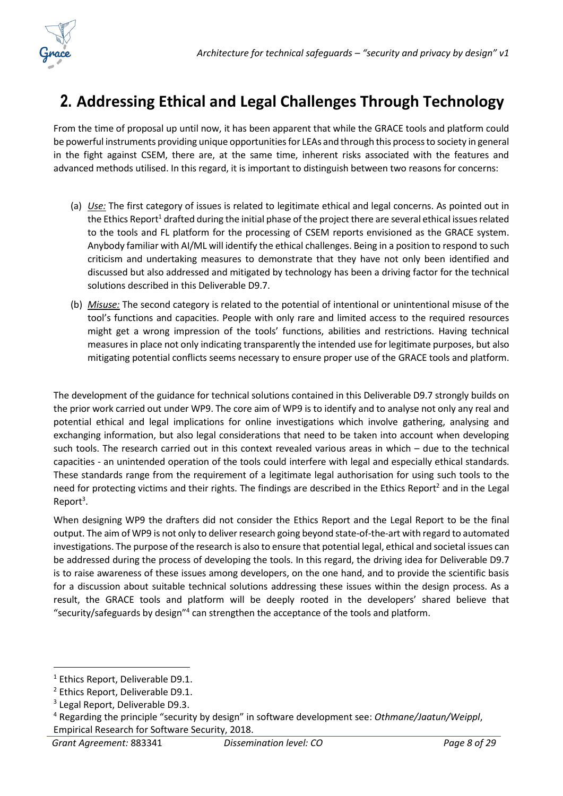

## <span id="page-7-0"></span>**2. Addressing Ethical and Legal Challenges Through Technology**

From the time of proposal up until now, it has been apparent that while the GRACE tools and platform could be powerful instruments providing unique opportunities for LEAs and through this process to society in general in the fight against CSEM, there are, at the same time, inherent risks associated with the features and advanced methods utilised. In this regard, it is important to distinguish between two reasons for concerns:

- (a) *Use:* The first category of issues is related to legitimate ethical and legal concerns. As pointed out in the Ethics Report<sup>1</sup> drafted during the initial phase of the project there are several ethical issues related to the tools and FL platform for the processing of CSEM reports envisioned as the GRACE system. Anybody familiar with AI/ML will identify the ethical challenges. Being in a position to respond to such criticism and undertaking measures to demonstrate that they have not only been identified and discussed but also addressed and mitigated by technology has been a driving factor for the technical solutions described in this Deliverable D9.7.
- (b) *Misuse:* The second category is related to the potential of intentional or unintentional misuse of the tool's functions and capacities. People with only rare and limited access to the required resources might get a wrong impression of the tools' functions, abilities and restrictions. Having technical measures in place not only indicating transparently the intended use for legitimate purposes, but also mitigating potential conflicts seems necessary to ensure proper use of the GRACE tools and platform.

The development of the guidance for technical solutions contained in this Deliverable D9.7 strongly builds on the prior work carried out under WP9. The core aim of WP9 is to identify and to analyse not only any real and potential ethical and legal implications for online investigations which involve gathering, analysing and exchanging information, but also legal considerations that need to be taken into account when developing such tools. The research carried out in this context revealed various areas in which – due to the technical capacities - an unintended operation of the tools could interfere with legal and especially ethical standards. These standards range from the requirement of a legitimate legal authorisation for using such tools to the need for protecting victims and their rights. The findings are described in the Ethics Report<sup>2</sup> and in the Legal Report<sup>3</sup>.

When designing WP9 the drafters did not consider the Ethics Report and the Legal Report to be the final output. The aim of WP9 is not only to deliver research going beyond state-of-the-art with regard to automated investigations. The purpose of the research is also to ensure that potential legal, ethical and societal issues can be addressed during the process of developing the tools. In this regard, the driving idea for Deliverable D9.7 is to raise awareness of these issues among developers, on the one hand, and to provide the scientific basis for a discussion about suitable technical solutions addressing these issues within the design process. As a result, the GRACE tools and platform will be deeply rooted in the developers' shared believe that "security/safeguards by design"<sup>4</sup> can strengthen the acceptance of the tools and platform.

<sup>&</sup>lt;sup>1</sup> Ethics Report, Deliverable D9.1.

<sup>2</sup> Ethics Report, Deliverable D9.1.

<sup>&</sup>lt;sup>3</sup> Legal Report, Deliverable D9.3.

<sup>4</sup> Regarding the principle "security by design" in software development see: *Othmane/Jaatun/Weippl*, Empirical Research for Software Security, 2018.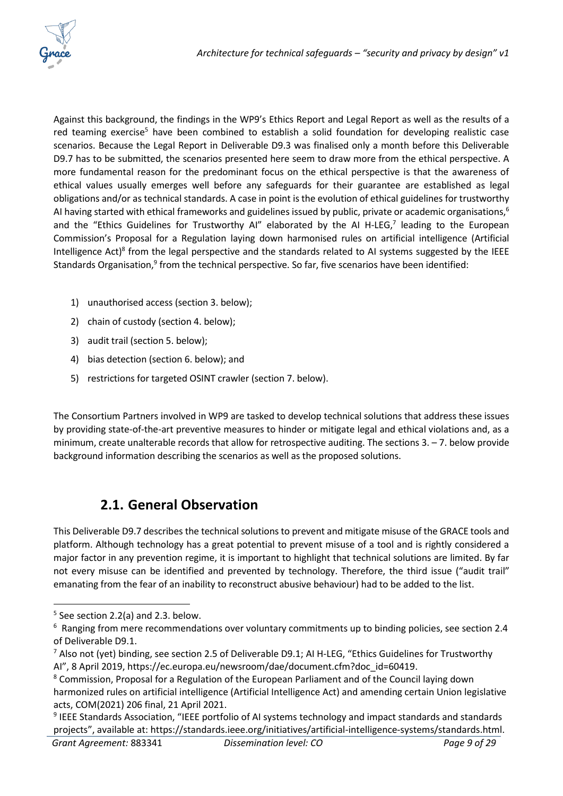

Against this background, the findings in the WP9's Ethics Report and Legal Report as well as the results of a red teaming exercise<sup>5</sup> have been combined to establish a solid foundation for developing realistic case scenarios. Because the Legal Report in Deliverable D9.3 was finalised only a month before this Deliverable D9.7 has to be submitted, the scenarios presented here seem to draw more from the ethical perspective. A more fundamental reason for the predominant focus on the ethical perspective is that the awareness of ethical values usually emerges well before any safeguards for their guarantee are established as legal obligations and/or as technical standards. A case in point is the evolution of ethical guidelines for trustworthy AI having started with ethical frameworks and guidelines issued by public, private or academic organisations,<sup>6</sup> and the "Ethics Guidelines for Trustworthy AI" elaborated by the AI H-LEG, $^7$  leading to the European Commission's Proposal for a Regulation laying down harmonised rules on artificial intelligence (Artificial Intelligence Act)<sup>8</sup> from the legal perspective and the standards related to AI systems suggested by the IEEE Standards Organisation,<sup>9</sup> from the technical perspective. So far, five scenarios have been identified:

- 1) unauthorised access (section 3. below);
- 2) chain of custody (section 4. below);
- 3) audit trail (section 5. below);
- 4) bias detection (section 6. below); and
- 5) restrictions for targeted OSINT crawler (section 7. below).

The Consortium Partners involved in WP9 are tasked to develop technical solutions that address these issues by providing state-of-the-art preventive measures to hinder or mitigate legal and ethical violations and, as a minimum, create unalterable records that allow for retrospective auditing. The sections  $3. -7$ , below provide background information describing the scenarios as well as the proposed solutions.

### **2.1. General Observation**

<span id="page-8-0"></span>This Deliverable D9.7 describes the technical solutions to prevent and mitigate misuse of the GRACE tools and platform. Although technology has a great potential to prevent misuse of a tool and is rightly considered a major factor in any prevention regime, it is important to highlight that technical solutions are limited. By far not every misuse can be identified and prevented by technology. Therefore, the third issue ("audit trail" emanating from the fear of an inability to reconstruct abusive behaviour) had to be added to the list.

 $5$  See section 2.2(a) and 2.3. below.

 $6$  Ranging from mere recommendations over voluntary commitments up to binding policies, see section 2.4 of Deliverable D9.1.

 $7$  Also not (yet) binding, see section 2.5 of Deliverable D9.1; AI H-LEG, "Ethics Guidelines for Trustworthy AI", 8 April 2019, https://ec.europa.eu/newsroom/dae/document.cfm?doc\_id=60419.

<sup>&</sup>lt;sup>8</sup> Commission, Proposal for a Regulation of the European Parliament and of the Council laying down harmonized rules on artificial intelligence (Artificial Intelligence Act) and amending certain Union legislative acts, COM(2021) 206 final, 21 April 2021.

*Grant Agreement:* 883341 *Dissemination level: CO Page 9 of 29* <sup>9</sup> IEEE Standards Association, "IEEE portfolio of AI systems technology and impact standards and standards projects", available at: https://standards.ieee.org/initiatives/artificial-intelligence-systems/standards.html.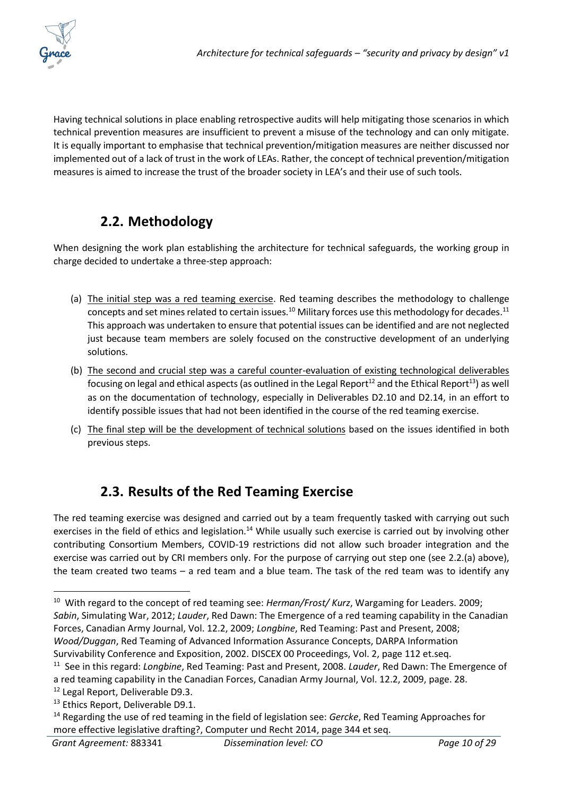

Having technical solutions in place enabling retrospective audits will help mitigating those scenarios in which technical prevention measures are insufficient to prevent a misuse of the technology and can only mitigate. It is equally important to emphasise that technical prevention/mitigation measures are neither discussed nor implemented out of a lack of trust in the work of LEAs. Rather, the concept of technical prevention/mitigation measures is aimed to increase the trust of the broader society in LEA's and their use of such tools.

### **2.2. Methodology**

<span id="page-9-0"></span>When designing the work plan establishing the architecture for technical safeguards, the working group in charge decided to undertake a three-step approach:

- (a) The initial step was a red teaming exercise. Red teaming describes the methodology to challenge concepts and set mines related to certain issues.<sup>10</sup> Military forces use this methodology for decades.<sup>11</sup> This approach was undertaken to ensure that potential issues can be identified and are not neglected just because team members are solely focused on the constructive development of an underlying solutions.
- (b) The second and crucial step was a careful counter-evaluation of existing technological deliverables focusing on legal and ethical aspects (as outlined in the Legal Report<sup>12</sup> and the Ethical Report<sup>13</sup>) as well as on the documentation of technology, especially in Deliverables D2.10 and D2.14, in an effort to identify possible issues that had not been identified in the course of the red teaming exercise.
- (c) The final step will be the development of technical solutions based on the issues identified in both previous steps.

## **2.3. Results of the Red Teaming Exercise**

<span id="page-9-1"></span>The red teaming exercise was designed and carried out by a team frequently tasked with carrying out such exercises in the field of ethics and legislation.<sup>14</sup> While usually such exercise is carried out by involving other contributing Consortium Members, COVID-19 restrictions did not allow such broader integration and the exercise was carried out by CRI members only. For the purpose of carrying out step one (see 2.2.(a) above), the team created two teams – a red team and a blue team. The task of the red team was to identify any

<sup>&</sup>lt;sup>10</sup> With regard to the concept of red teaming see: *Herman/Frost/ Kurz*, Wargaming for Leaders. 2009; *Sabin*, Simulating War, 2012; *Lauder*, Red Dawn: The Emergence of a red teaming capability in the Canadian Forces, Canadian Army Journal, Vol. 12.2, 2009; *Longbine*, Red Teaming: Past and Present, 2008; *Wood/Duggan*, Red Teaming of Advanced Information Assurance Concepts, DARPA Information Survivability Conference and Exposition, 2002. DISCEX 00 Proceedings, Vol. 2, page 112 et.seq.

<sup>11</sup> See in this regard: *Longbine*, Red Teaming: Past and Present, 2008. *Lauder*, Red Dawn: The Emergence of a red teaming capability in the Canadian Forces, Canadian Army Journal, Vol. 12.2, 2009, page. 28.

<sup>&</sup>lt;sup>12</sup> Legal Report, Deliverable D9.3.

<sup>&</sup>lt;sup>13</sup> Ethics Report, Deliverable D9.1.

<sup>14</sup> Regarding the use of red teaming in the field of legislation see: *Gercke*, Red Teaming Approaches for more effective legislative drafting?, Computer und Recht 2014, page 344 et seq.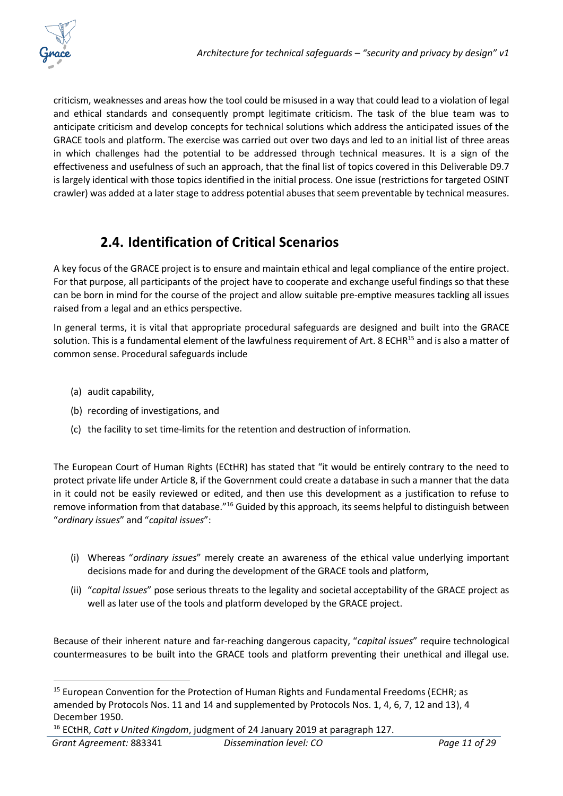criticism, weaknesses and areas how the tool could be misused in a way that could lead to a violation of legal and ethical standards and consequently prompt legitimate criticism. The task of the blue team was to anticipate criticism and develop concepts for technical solutions which address the anticipated issues of the GRACE tools and platform. The exercise was carried out over two days and led to an initial list of three areas in which challenges had the potential to be addressed through technical measures. It is a sign of the effectiveness and usefulness of such an approach, that the final list of topics covered in this Deliverable D9.7 is largely identical with those topics identified in the initial process. One issue (restrictions for targeted OSINT crawler) was added at a later stage to address potential abuses that seem preventable by technical measures.

### **2.4. Identification of Critical Scenarios**

<span id="page-10-0"></span>A key focus of the GRACE project is to ensure and maintain ethical and legal compliance of the entire project. For that purpose, all participants of the project have to cooperate and exchange useful findings so that these can be born in mind for the course of the project and allow suitable pre-emptive measures tackling all issues raised from a legal and an ethics perspective.

In general terms, it is vital that appropriate procedural safeguards are designed and built into the GRACE solution. This is a fundamental element of the lawfulness requirement of Art. 8 ECHR<sup>15</sup> and is also a matter of common sense. Procedural safeguards include

- (a) audit capability,
- (b) recording of investigations, and
- (c) the facility to set time-limits for the retention and destruction of information.

The European Court of Human Rights (ECtHR) has stated that "it would be entirely contrary to the need to protect private life under Article 8, if the Government could create a database in such a manner that the data in it could not be easily reviewed or edited, and then use this development as a justification to refuse to remove information from that database."<sup>16</sup> Guided by this approach, its seems helpful to distinguish between "*ordinary issues*" and "*capital issues*":

- (i) Whereas "*ordinary issues*" merely create an awareness of the ethical value underlying important decisions made for and during the development of the GRACE tools and platform,
- (ii) "*capital issues*" pose serious threats to the legality and societal acceptability of the GRACE project as well as later use of the tools and platform developed by the GRACE project.

Because of their inherent nature and far-reaching dangerous capacity, "*capital issues*" require technological countermeasures to be built into the GRACE tools and platform preventing their unethical and illegal use.

 $15$  European Convention for the Protection of Human Rights and Fundamental Freedoms (ECHR; as amended by Protocols Nos. 11 and 14 and supplemented by Protocols Nos. 1, 4, 6, 7, 12 and 13), 4 December 1950.

<sup>16</sup> ECtHR, *Catt v United Kingdom*, judgment of 24 January 2019 at paragraph 127.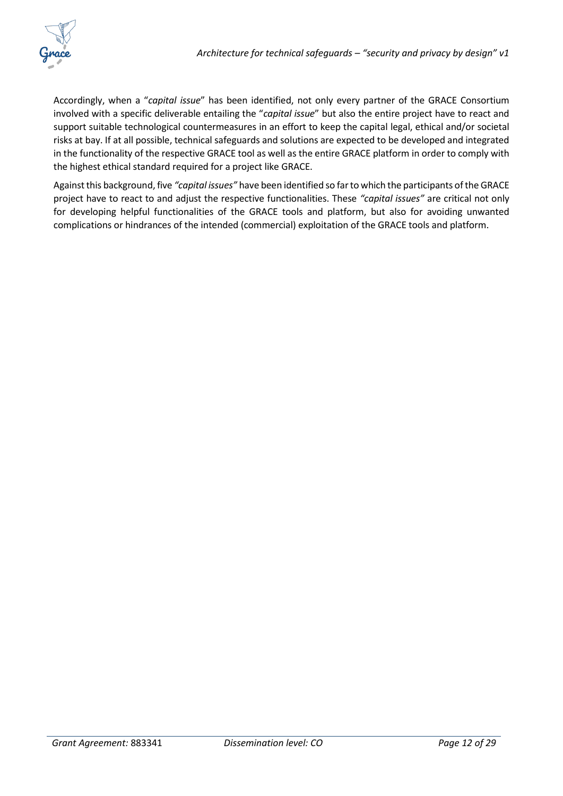

Accordingly, when a "*capital issue*" has been identified, not only every partner of the GRACE Consortium involved with a specific deliverable entailing the "*capital issue*" but also the entire project have to react and support suitable technological countermeasures in an effort to keep the capital legal, ethical and/or societal risks at bay. If at all possible, technical safeguards and solutions are expected to be developed and integrated in the functionality of the respective GRACE tool as well as the entire GRACE platform in order to comply with the highest ethical standard required for a project like GRACE.

Against this background, five *"capital issues"* have been identified so farto which the participants of the GRACE project have to react to and adjust the respective functionalities. These *"capital issues"* are critical not only for developing helpful functionalities of the GRACE tools and platform, but also for avoiding unwanted complications or hindrances of the intended (commercial) exploitation of the GRACE tools and platform.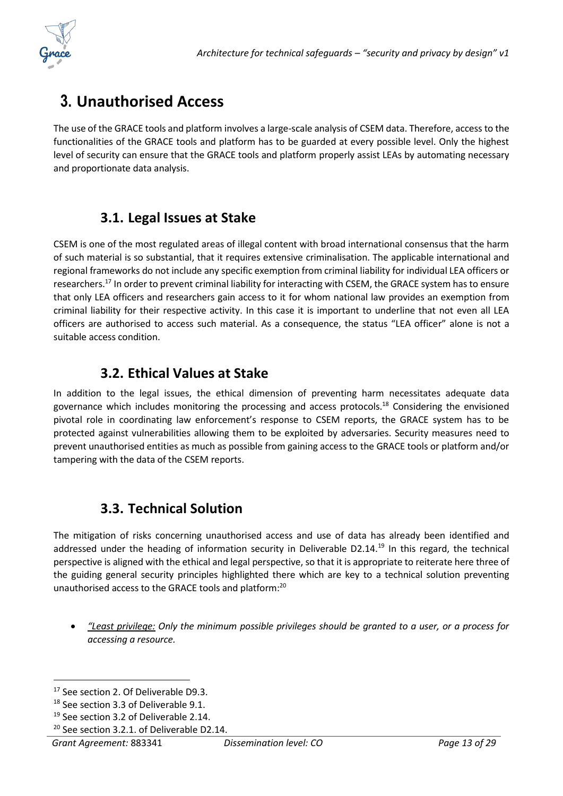

## <span id="page-12-0"></span>**3. Unauthorised Access**

The use of the GRACE tools and platform involves a large-scale analysis of CSEM data. Therefore, access to the functionalities of the GRACE tools and platform has to be guarded at every possible level. Only the highest level of security can ensure that the GRACE tools and platform properly assist LEAs by automating necessary and proportionate data analysis.

### **3.1. Legal Issues at Stake**

<span id="page-12-1"></span>CSEM is one of the most regulated areas of illegal content with broad international consensus that the harm of such material is so substantial, that it requires extensive criminalisation. The applicable international and regional frameworks do not include any specific exemption from criminal liability for individual LEA officers or researchers.<sup>17</sup> In order to prevent criminal liability for interacting with CSEM, the GRACE system has to ensure that only LEA officers and researchers gain access to it for whom national law provides an exemption from criminal liability for their respective activity. In this case it is important to underline that not even all LEA officers are authorised to access such material. As a consequence, the status "LEA officer" alone is not a suitable access condition.

#### **3.2. Ethical Values at Stake**

In addition to the legal issues, the ethical dimension of preventing harm necessitates adequate data governance which includes monitoring the processing and access protocols.<sup>18</sup> Considering the envisioned pivotal role in coordinating law enforcement's response to CSEM reports, the GRACE system has to be protected against vulnerabilities allowing them to be exploited by adversaries. Security measures need to prevent unauthorised entities as much as possible from gaining access to the GRACE tools or platform and/or tampering with the data of the CSEM reports.

### **3.3. Technical Solution**

<span id="page-12-2"></span>The mitigation of risks concerning unauthorised access and use of data has already been identified and addressed under the heading of information security in Deliverable D2.14.<sup>19</sup> In this regard, the technical perspective is aligned with the ethical and legal perspective, so that it is appropriate to reiterate here three of the guiding general security principles highlighted there which are key to a technical solution preventing unauthorised access to the GRACE tools and platform:<sup>20</sup>

• *"Least privilege: Only the minimum possible privileges should be granted to a user, or a process for accessing a resource.*

<sup>&</sup>lt;sup>17</sup> See section 2. Of Deliverable D9.3.

<sup>&</sup>lt;sup>18</sup> See section 3.3 of Deliverable 9.1.

<sup>&</sup>lt;sup>19</sup> See section 3.2 of Deliverable 2.14.

<sup>&</sup>lt;sup>20</sup> See section 3.2.1. of Deliverable D2.14.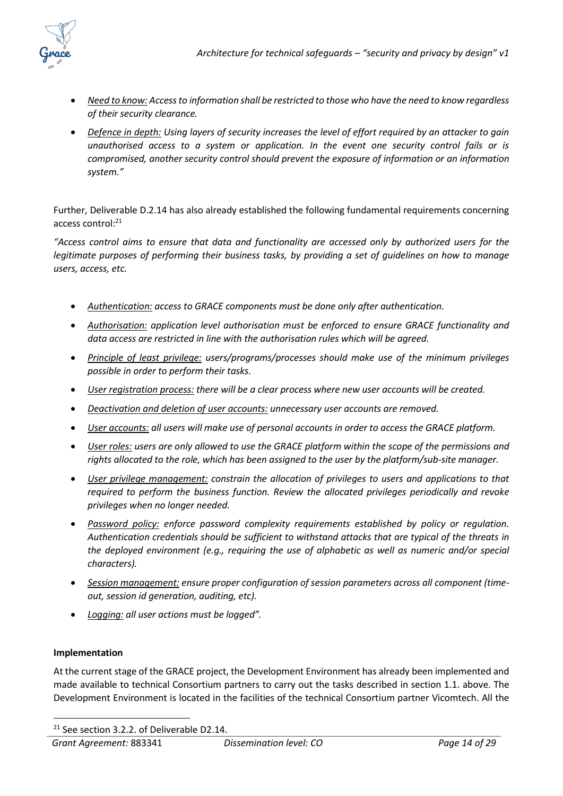

- *Need to know: Access to information shall be restricted to those who have the need to know regardless of their security clearance.*
- *Defence in depth: Using layers of security increases the level of effort required by an attacker to gain unauthorised access to a system or application. In the event one security control fails or is compromised, another security control should prevent the exposure of information or an information system."*

Further, Deliverable D.2.14 has also already established the following fundamental requirements concerning access control:<sup>21</sup>

*"Access control aims to ensure that data and functionality are accessed only by authorized users for the legitimate purposes of performing their business tasks, by providing a set of guidelines on how to manage users, access, etc.*

- *Authentication: access to GRACE components must be done only after authentication.*
- *Authorisation: application level authorisation must be enforced to ensure GRACE functionality and data access are restricted in line with the authorisation rules which will be agreed.*
- *Principle of least privilege: users/programs/processes should make use of the minimum privileges possible in order to perform their tasks.*
- *User registration process: there will be a clear process where new user accounts will be created.*
- *Deactivation and deletion of user accounts: unnecessary user accounts are removed.*
- *User accounts: all users will make use of personal accounts in order to access the GRACE platform.*
- *User roles: users are only allowed to use the GRACE platform within the scope of the permissions and rights allocated to the role, which has been assigned to the user by the platform/sub-site manager.*
- *User privilege management: constrain the allocation of privileges to users and applications to that required to perform the business function. Review the allocated privileges periodically and revoke privileges when no longer needed.*
- *Password policy: enforce password complexity requirements established by policy or regulation. Authentication credentials should be sufficient to withstand attacks that are typical of the threats in the deployed environment (e.g., requiring the use of alphabetic as well as numeric and/or special characters).*
- *Session management: ensure proper configuration of session parameters across all component (timeout, session id generation, auditing, etc).*
- *Logging: all user actions must be logged".*

#### **Implementation**

At the current stage of the GRACE project, the Development Environment has already been implemented and made available to technical Consortium partners to carry out the tasks described in section 1.1. above. The Development Environment is located in the facilities of the technical Consortium partner Vicomtech. All the

<sup>&</sup>lt;sup>21</sup> See section 3.2.2. of Deliverable D2.14.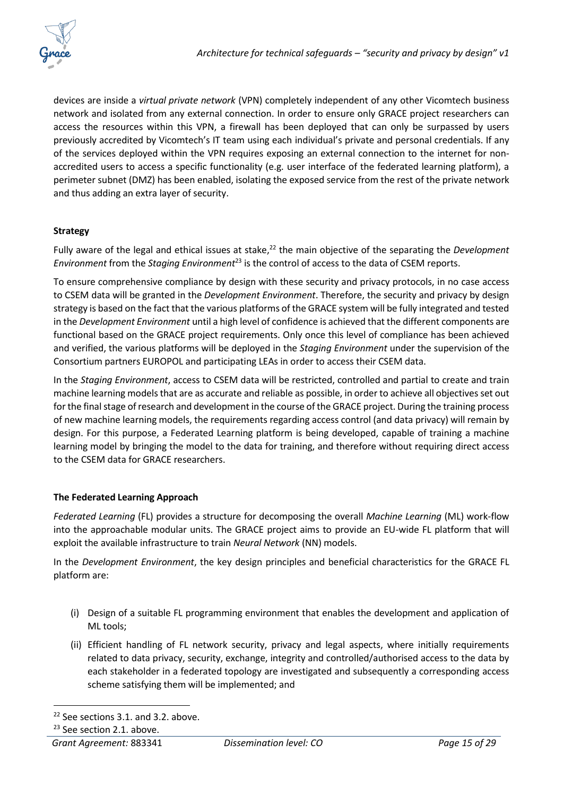devices are inside a *virtual private network* (VPN) completely independent of any other Vicomtech business network and isolated from any external connection. In order to ensure only GRACE project researchers can access the resources within this VPN, a firewall has been deployed that can only be surpassed by users previously accredited by Vicomtech's IT team using each individual's private and personal credentials. If any of the services deployed within the VPN requires exposing an external connection to the internet for nonaccredited users to access a specific functionality (e.g. user interface of the federated learning platform), a perimeter subnet (DMZ) has been enabled, isolating the exposed service from the rest of the private network and thus adding an extra layer of security.

#### **Strategy**

Fully aware of the legal and ethical issues at stake, <sup>22</sup> the main objective of the separating the *Development Environment* from the *Staging Environment*<sup>23</sup> is the control of access to the data of CSEM reports.

To ensure comprehensive compliance by design with these security and privacy protocols, in no case access to CSEM data will be granted in the *Development Environment*. Therefore, the security and privacy by design strategy is based on the fact that the various platforms of the GRACE system will be fully integrated and tested in the *Development Environment* until a high level of confidence is achieved that the different components are functional based on the GRACE project requirements. Only once this level of compliance has been achieved and verified, the various platforms will be deployed in the *Staging Environment* under the supervision of the Consortium partners EUROPOL and participating LEAs in order to access their CSEM data.

In the *Staging Environment*, access to CSEM data will be restricted, controlled and partial to create and train machine learning models that are as accurate and reliable as possible, in order to achieve all objectives set out for the final stage of research and development in the course of the GRACE project. During the training process of new machine learning models, the requirements regarding access control (and data privacy) will remain by design. For this purpose, a Federated Learning platform is being developed, capable of training a machine learning model by bringing the model to the data for training, and therefore without requiring direct access to the CSEM data for GRACE researchers.

#### **The Federated Learning Approach**

*Federated Learning* (FL) provides a structure for decomposing the overall *Machine Learning* (ML) work-flow into the approachable modular units. The GRACE project aims to provide an EU-wide FL platform that will exploit the available infrastructure to train *Neural Network* (NN) models.

In the *Development Environment*, the key design principles and beneficial characteristics for the GRACE FL platform are:

- (i) Design of a suitable FL programming environment that enables the development and application of ML tools;
- (ii) Efficient handling of FL network security, privacy and legal aspects, where initially requirements related to data privacy, security, exchange, integrity and controlled/authorised access to the data by each stakeholder in a federated topology are investigated and subsequently a corresponding access scheme satisfying them will be implemented; and

<sup>&</sup>lt;sup>22</sup> See sections 3.1. and 3.2. above.

<sup>&</sup>lt;sup>23</sup> See section 2.1. above.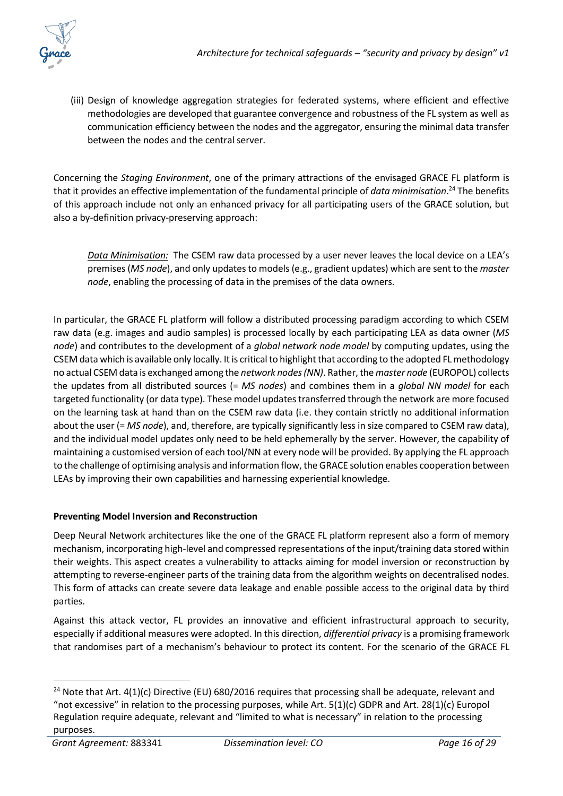(iii) Design of knowledge aggregation strategies for federated systems, where efficient and effective methodologies are developed that guarantee convergence and robustness of the FL system as well as communication efficiency between the nodes and the aggregator, ensuring the minimal data transfer between the nodes and the central server.

Concerning the *Staging Environment*, one of the primary attractions of the envisaged GRACE FL platform is that it provides an effective implementation of the fundamental principle of *data minimisation*. <sup>24</sup> The benefits of this approach include not only an enhanced privacy for all participating users of the GRACE solution, but also a by-definition privacy-preserving approach:

*Data Minimisation:* The CSEM raw data processed by a user never leaves the local device on a LEA's premises (*MS node*), and only updates to models (e.g., gradient updates) which are sent to the *master node*, enabling the processing of data in the premises of the data owners.

In particular, the GRACE FL platform will follow a distributed processing paradigm according to which CSEM raw data (e.g. images and audio samples) is processed locally by each participating LEA as data owner (*MS node*) and contributes to the development of a *global network node model* by computing updates, using the CSEM data which is available only locally. It is critical to highlight that according to the adopted FL methodology no actual CSEM data is exchanged among the *network nodes(NN)*. Rather, the *master node* (EUROPOL) collects the updates from all distributed sources (= *MS nodes*) and combines them in a *global NN model* for each targeted functionality (or data type). These model updates transferred through the network are more focused on the learning task at hand than on the CSEM raw data (i.e. they contain strictly no additional information about the user (= *MS node*), and, therefore, are typically significantly less in size compared to CSEM raw data), and the individual model updates only need to be held ephemerally by the server. However, the capability of maintaining a customised version of each tool/NN at every node will be provided. By applying the FL approach to the challenge of optimising analysis and information flow, the GRACE solution enables cooperation between LEAs by improving their own capabilities and harnessing experiential knowledge.

#### **Preventing Model Inversion and Reconstruction**

Deep Neural Network architectures like the one of the GRACE FL platform represent also a form of memory mechanism, incorporating high-level and compressed representations of the input/training data stored within their weights. This aspect creates a vulnerability to attacks aiming for model inversion or reconstruction by attempting to reverse-engineer parts of the training data from the algorithm weights on decentralised nodes. This form of attacks can create severe data leakage and enable possible access to the original data by third parties.

Against this attack vector, FL provides an innovative and efficient infrastructural approach to security, especially if additional measures were adopted. In this direction, *differential privacy* is a promising framework that randomises part of a mechanism's behaviour to protect its content. For the scenario of the GRACE FL

<sup>&</sup>lt;sup>24</sup> Note that Art. 4(1)(c) Directive (EU) 680/2016 requires that processing shall be adequate, relevant and "not excessive" in relation to the processing purposes, while Art.  $5(1)(c)$  GDPR and Art.  $28(1)(c)$  Europol Regulation require adequate, relevant and "limited to what is necessary" in relation to the processing purposes.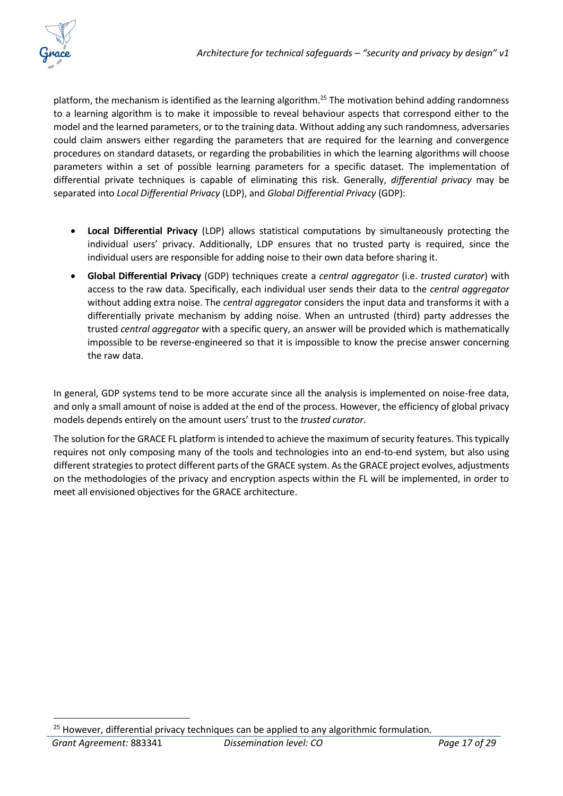

platform, the mechanism is identified as the learning algorithm.<sup>25</sup> The motivation behind adding randomness to a learning algorithm is to make it impossible to reveal behaviour aspects that correspond either to the model and the learned parameters, or to the training data. Without adding any such randomness, adversaries could claim answers either regarding the parameters that are required for the learning and convergence procedures on standard datasets, or regarding the probabilities in which the learning algorithms will choose parameters within a set of possible learning parameters for a specific dataset. The implementation of differential private techniques is capable of eliminating this risk. Generally, *differential privacy* may be separated into *Local Differential Privacy* (LDP), and *Global Differential Privacy* (GDP):

- **Local Differential Privacy** (LDP) allows statistical computations by simultaneously protecting the individual users' privacy. Additionally, LDP ensures that no trusted party is required, since the individual users are responsible for adding noise to their own data before sharing it.
- **Global Differential Privacy** (GDP) techniques create a *central aggregator* (i.e. *trusted curator*) with access to the raw data. Specifically, each individual user sends their data to the *central aggregator* without adding extra noise. The *central aggregator* considers the input data and transforms it with a differentially private mechanism by adding noise. When an untrusted (third) party addresses the trusted *central aggregator* with a specific query, an answer will be provided which is mathematically impossible to be reverse-engineered so that it is impossible to know the precise answer concerning the raw data.

In general, GDP systems tend to be more accurate since all the analysis is implemented on noise-free data, and only a small amount of noise is added at the end of the process. However, the efficiency of global privacy models depends entirely on the amount users' trust to the *trusted curator*.

The solution for the GRACE FL platform is intended to achieve the maximum of security features. This typically requires not only composing many of the tools and technologies into an end-to-end system, but also using different strategies to protect different parts of the GRACE system. As the GRACE project evolves, adjustments on the methodologies of the privacy and encryption aspects within the FL will be implemented, in order to meet all envisioned objectives for the GRACE architecture.

*Grant Agreement:* 883341 *Dissemination level: CO Page 17 of 29* <sup>25</sup> However, differential privacy techniques can be applied to any algorithmic formulation.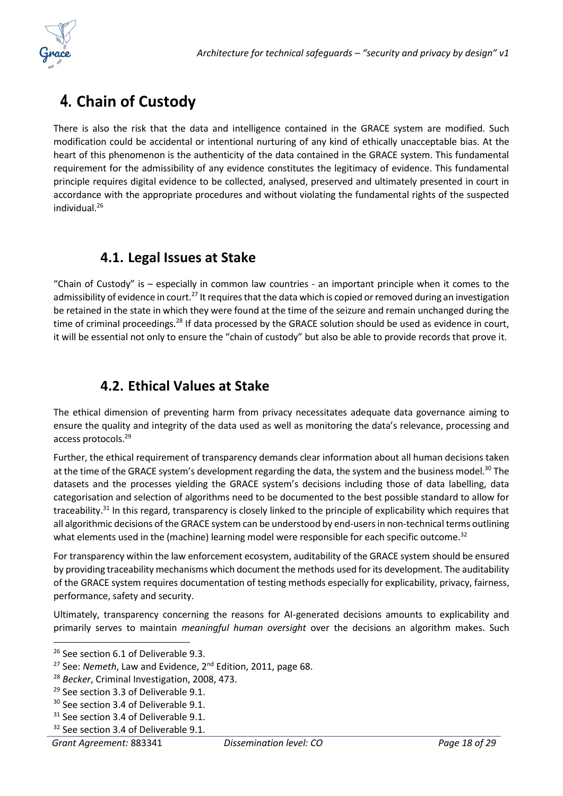

## <span id="page-17-0"></span>**4. Chain of Custody**

There is also the risk that the data and intelligence contained in the GRACE system are modified. Such modification could be accidental or intentional nurturing of any kind of ethically unacceptable bias. At the heart of this phenomenon is the authenticity of the data contained in the GRACE system. This fundamental requirement for the admissibility of any evidence constitutes the legitimacy of evidence. This fundamental principle requires digital evidence to be collected, analysed, preserved and ultimately presented in court in accordance with the appropriate procedures and without violating the fundamental rights of the suspected individual<sup>26</sup>

### **4.1. Legal Issues at Stake**

<span id="page-17-1"></span>"Chain of Custody" is – especially in common law countries - an important principle when it comes to the admissibility of evidence in court.<sup>27</sup> It requires that the data which is copied or removed during an investigation be retained in the state in which they were found at the time of the seizure and remain unchanged during the time of criminal proceedings.<sup>28</sup> If data processed by the GRACE solution should be used as evidence in court, it will be essential not only to ensure the "chain of custody" but also be able to provide records that prove it.

### **4.2. Ethical Values at Stake**

<span id="page-17-2"></span>The ethical dimension of preventing harm from privacy necessitates adequate data governance aiming to ensure the quality and integrity of the data used as well as monitoring the data's relevance, processing and access protocols.<sup>29</sup>

Further, the ethical requirement of transparency demands clear information about all human decisions taken at the time of the GRACE system's development regarding the data, the system and the business model.<sup>30</sup> The datasets and the processes yielding the GRACE system's decisions including those of data labelling, data categorisation and selection of algorithms need to be documented to the best possible standard to allow for traceability.<sup>31</sup> In this regard, transparency is closely linked to the principle of explicability which requires that all algorithmic decisions of the GRACE system can be understood by end-users in non-technical terms outlining what elements used in the (machine) learning model were responsible for each specific outcome.<sup>32</sup>

For transparency within the law enforcement ecosystem, auditability of the GRACE system should be ensured by providing traceability mechanisms which document the methods used for its development. The auditability of the GRACE system requires documentation of testing methods especially for explicability, privacy, fairness, performance, safety and security.

Ultimately, transparency concerning the reasons for AI-generated decisions amounts to explicability and primarily serves to maintain *meaningful human oversight* over the decisions an algorithm makes. Such

<sup>&</sup>lt;sup>26</sup> See section 6.1 of Deliverable 9.3.

<sup>&</sup>lt;sup>27</sup> See: *Nemeth*, Law and Evidence, 2<sup>nd</sup> Edition, 2011, page 68.

<sup>28</sup> *Becker*, Criminal Investigation, 2008, 473.

<sup>&</sup>lt;sup>29</sup> See section 3.3 of Deliverable 9.1.

<sup>&</sup>lt;sup>30</sup> See section 3.4 of Deliverable 9.1.

<sup>&</sup>lt;sup>31</sup> See section 3.4 of Deliverable 9.1.

<sup>&</sup>lt;sup>32</sup> See section 3.4 of Deliverable 9.1.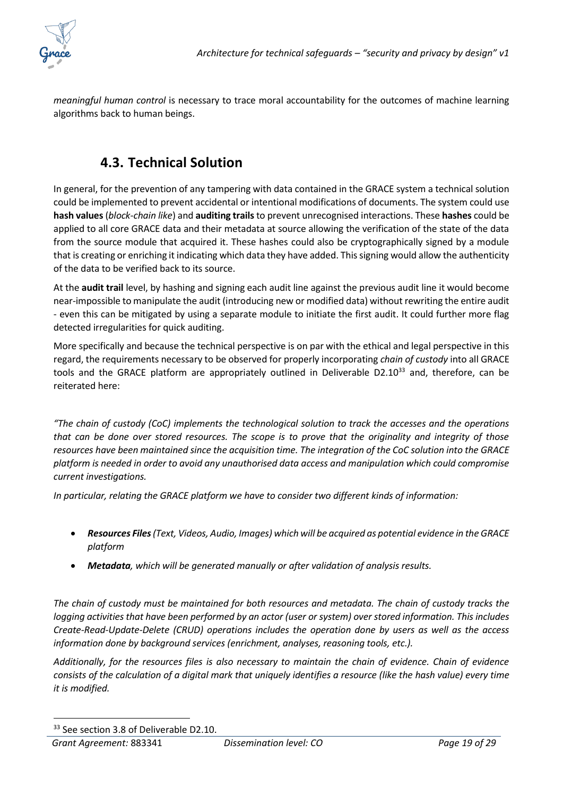

*meaningful human control* is necessary to trace moral accountability for the outcomes of machine learning algorithms back to human beings.

### **4.3. Technical Solution**

<span id="page-18-0"></span>In general, for the prevention of any tampering with data contained in the GRACE system a technical solution could be implemented to prevent accidental or intentional modifications of documents. The system could use **hash values** (*block-chain like*) and **auditing trails** to prevent unrecognised interactions. These **hashes** could be applied to all core GRACE data and their metadata at source allowing the verification of the state of the data from the source module that acquired it. These hashes could also be cryptographically signed by a module that is creating or enriching it indicating which data they have added. This signing would allow the authenticity of the data to be verified back to its source.

At the **audit trail** level, by hashing and signing each audit line against the previous audit line it would become near-impossible to manipulate the audit (introducing new or modified data) without rewriting the entire audit - even this can be mitigated by using a separate module to initiate the first audit. It could further more flag detected irregularities for quick auditing.

More specifically and because the technical perspective is on par with the ethical and legal perspective in this regard, the requirements necessary to be observed for properly incorporating *chain of custody* into all GRACE tools and the GRACE platform are appropriately outlined in Deliverable D2.10<sup>33</sup> and, therefore, can be reiterated here:

*"The chain of custody (CoC) implements the technological solution to track the accesses and the operations that can be done over stored resources. The scope is to prove that the originality and integrity of those resources have been maintained since the acquisition time. The integration of the CoC solution into the GRACE platform is needed in order to avoid any unauthorised data access and manipulation which could compromise current investigations.*

*In particular, relating the GRACE platform we have to consider two different kinds of information:*

- *Resources Files(Text, Videos, Audio, Images) which will be acquired as potential evidence in the GRACE platform*
- *Metadata, which will be generated manually or after validation of analysis results.*

*The chain of custody must be maintained for both resources and metadata. The chain of custody tracks the logging activities that have been performed by an actor (user or system) over stored information. This includes Create-Read-Update-Delete (CRUD) operations includes the operation done by users as well as the access information done by background services (enrichment, analyses, reasoning tools, etc.).*

*Additionally, for the resources files is also necessary to maintain the chain of evidence. Chain of evidence consists of the calculation of a digital mark that uniquely identifies a resource (like the hash value) every time it is modified.*

<sup>&</sup>lt;sup>33</sup> See section 3.8 of Deliverable D2.10.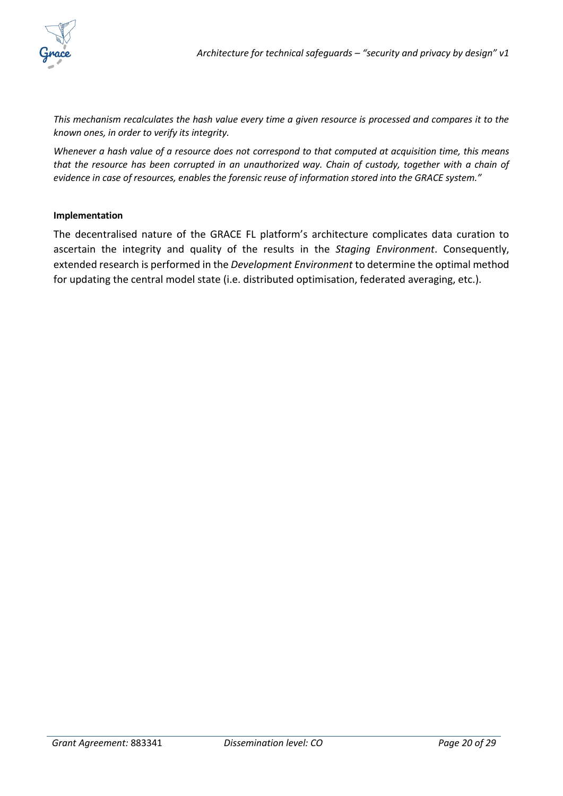

*This mechanism recalculates the hash value every time a given resource is processed and compares it to the known ones, in order to verify its integrity.*

*Whenever a hash value of a resource does not correspond to that computed at acquisition time, this means that the resource has been corrupted in an unauthorized way. Chain of custody, together with a chain of evidence in case of resources, enables the forensic reuse of information stored into the GRACE system."*

#### **Implementation**

The decentralised nature of the GRACE FL platform's architecture complicates data curation to ascertain the integrity and quality of the results in the *Staging Environment*. Consequently, extended research is performed in the *Development Environment* to determine the optimal method for updating the central model state (i.e. distributed optimisation, federated averaging, etc.).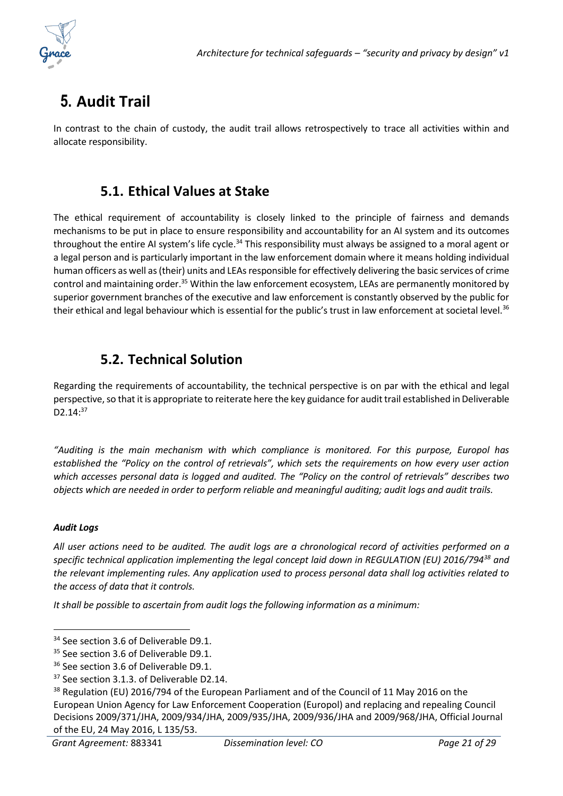

## <span id="page-20-0"></span>**5. Audit Trail**

In contrast to the chain of custody, the audit trail allows retrospectively to trace all activities within and allocate responsibility.

### **5.1. Ethical Values at Stake**

<span id="page-20-1"></span>The ethical requirement of accountability is closely linked to the principle of fairness and demands mechanisms to be put in place to ensure responsibility and accountability for an AI system and its outcomes throughout the entire AI system's life cycle.<sup>34</sup> This responsibility must always be assigned to a moral agent or a legal person and is particularly important in the law enforcement domain where it means holding individual human officers as well as (their) units and LEAs responsible for effectively delivering the basic services of crime control and maintaining order.<sup>35</sup> Within the law enforcement ecosystem, LEAs are permanently monitored by superior government branches of the executive and law enforcement is constantly observed by the public for their ethical and legal behaviour which is essential for the public's trust in law enforcement at societal level.<sup>36</sup>

### **5.2. Technical Solution**

<span id="page-20-2"></span>Regarding the requirements of accountability, the technical perspective is on par with the ethical and legal perspective, so that it is appropriate to reiterate here the key guidance for audit trail established in Deliverable D2.14:<sup>37</sup>

*"Auditing is the main mechanism with which compliance is monitored. For this purpose, Europol has established the "Policy on the control of retrievals", which sets the requirements on how every user action which accesses personal data is logged and audited. The "Policy on the control of retrievals" describes two objects which are needed in order to perform reliable and meaningful auditing; audit logs and audit trails.*

#### *Audit Logs*

*All user actions need to be audited. The audit logs are a chronological record of activities performed on a specific technical application implementing the legal concept laid down in REGULATION (EU) 2016/794<sup>38</sup> and the relevant implementing rules. Any application used to process personal data shall log activities related to the access of data that it controls.*

*It shall be possible to ascertain from audit logs the following information as a minimum:*

<sup>&</sup>lt;sup>34</sup> See section 3.6 of Deliverable D9.1.

<sup>&</sup>lt;sup>35</sup> See section 3.6 of Deliverable D9.1.

<sup>&</sup>lt;sup>36</sup> See section 3.6 of Deliverable D9.1.

<sup>&</sup>lt;sup>37</sup> See section 3.1.3. of Deliverable D2.14.

<sup>&</sup>lt;sup>38</sup> Regulation (EU) 2016/794 of the European Parliament and of the Council of 11 May 2016 on the European Union Agency for Law Enforcement Cooperation (Europol) and replacing and repealing Council Decisions 2009/371/JHA, 2009/934/JHA, 2009/935/JHA, 2009/936/JHA and 2009/968/JHA, Official Journal of the EU, 24 May 2016, L 135/53.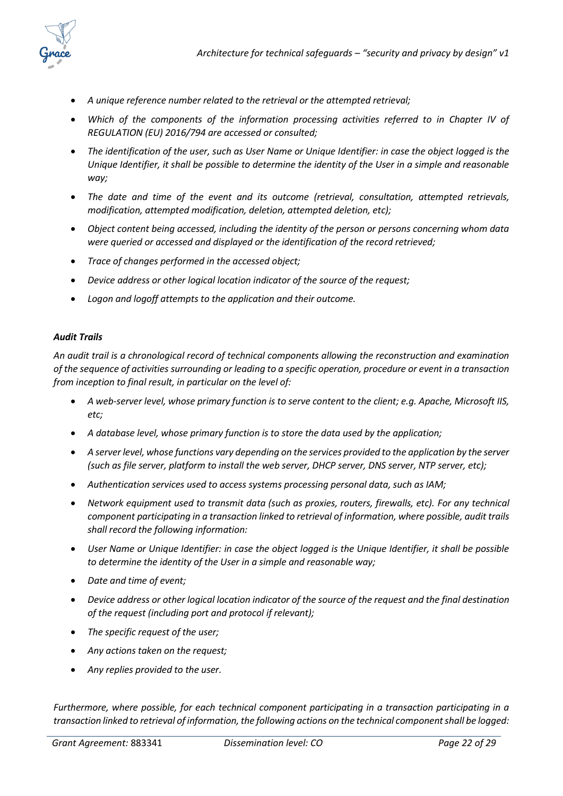

- *A unique reference number related to the retrieval or the attempted retrieval;*
- *Which of the components of the information processing activities referred to in Chapter IV of REGULATION (EU) 2016/794 are accessed or consulted;*
- *The identification of the user, such as User Name or Unique Identifier: in case the object logged is the Unique Identifier, it shall be possible to determine the identity of the User in a simple and reasonable way;*
- *The date and time of the event and its outcome (retrieval, consultation, attempted retrievals, modification, attempted modification, deletion, attempted deletion, etc);*
- *Object content being accessed, including the identity of the person or persons concerning whom data were queried or accessed and displayed or the identification of the record retrieved;*
- *Trace of changes performed in the accessed object;*
- *Device address or other logical location indicator of the source of the request;*
- *Logon and logoff attempts to the application and their outcome.*

#### *Audit Trails*

*An audit trail is a chronological record of technical components allowing the reconstruction and examination of the sequence of activities surrounding or leading to a specific operation, procedure or event in a transaction from inception to final result, in particular on the level of:*

- *A web-server level, whose primary function is to serve content to the client; e.g. Apache, Microsoft IIS, etc;*
- *A database level, whose primary function is to store the data used by the application;*
- *A server level, whose functions vary depending on the services provided to the application by the server (such as file server, platform to install the web server, DHCP server, DNS server, NTP server, etc);*
- *Authentication services used to access systems processing personal data, such as IAM;*
- *Network equipment used to transmit data (such as proxies, routers, firewalls, etc). For any technical component participating in a transaction linked to retrieval of information, where possible, audit trails shall record the following information:*
- *User Name or Unique Identifier: in case the object logged is the Unique Identifier, it shall be possible to determine the identity of the User in a simple and reasonable way;*
- *Date and time of event;*
- *Device address or other logical location indicator of the source of the request and the final destination of the request (including port and protocol if relevant);*
- *The specific request of the user;*
- *Any actions taken on the request;*
- *Any replies provided to the user.*

*Furthermore, where possible, for each technical component participating in a transaction participating in a transaction linked to retrieval of information, the following actions on the technical component shall be logged:*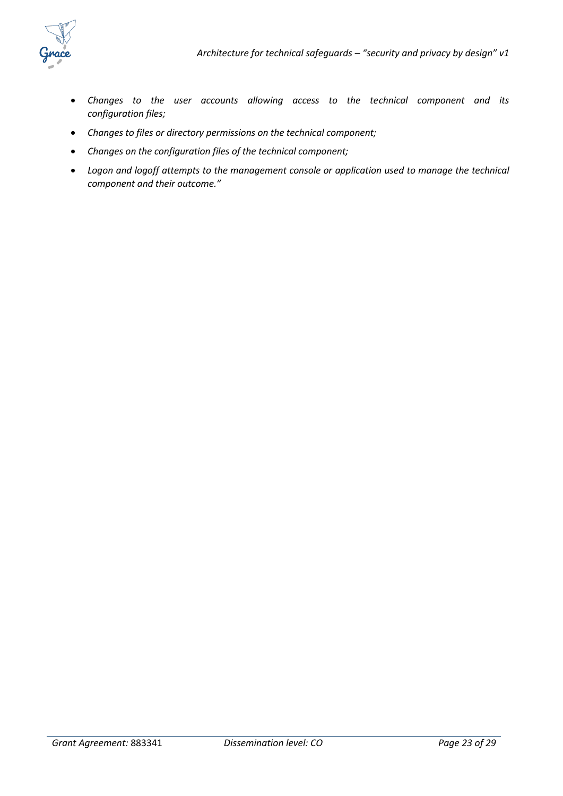

- *Changes to the user accounts allowing access to the technical component and its configuration files;*
- *Changes to files or directory permissions on the technical component;*
- *Changes on the configuration files of the technical component;*
- *Logon and logoff attempts to the management console or application used to manage the technical component and their outcome."*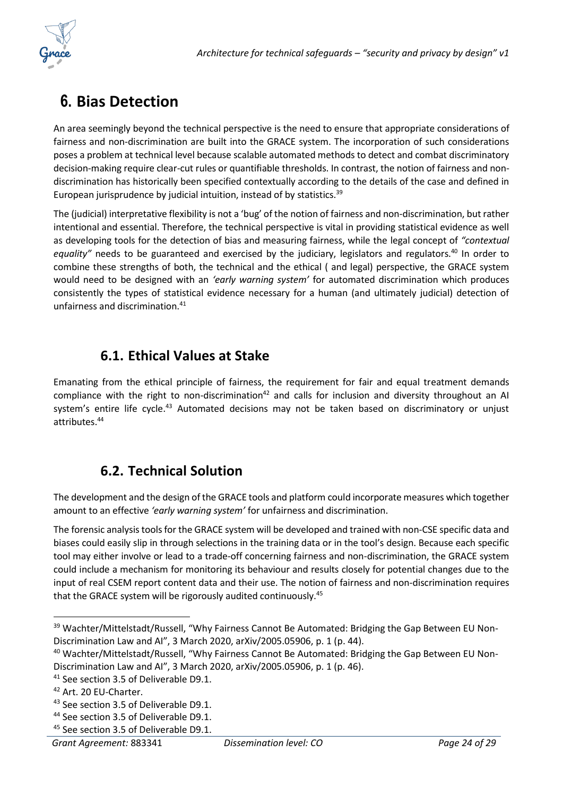

## <span id="page-23-0"></span>**6. Bias Detection**

An area seemingly beyond the technical perspective is the need to ensure that appropriate considerations of fairness and non-discrimination are built into the GRACE system. The incorporation of such considerations poses a problem at technical level because scalable automated methods to detect and combat discriminatory decision-making require clear-cut rules or quantifiable thresholds. In contrast, the notion of fairness and nondiscrimination has historically been specified contextually according to the details of the case and defined in European jurisprudence by judicial intuition, instead of by statistics.<sup>39</sup>

The (judicial) interpretative flexibility is not a 'bug' of the notion of fairness and non-discrimination, but rather intentional and essential. Therefore, the technical perspective is vital in providing statistical evidence as well as developing tools for the detection of bias and measuring fairness, while the legal concept of *"contextual*  equality" needs to be guaranteed and exercised by the judiciary, legislators and regulators.<sup>40</sup> In order to combine these strengths of both, the technical and the ethical ( and legal) perspective, the GRACE system would need to be designed with an *'early warning system'* for automated discrimination which produces consistently the types of statistical evidence necessary for a human (and ultimately judicial) detection of unfairness and discrimination.<sup>41</sup>

### **6.1. Ethical Values at Stake**

<span id="page-23-1"></span>Emanating from the ethical principle of fairness, the requirement for fair and equal treatment demands compliance with the right to non-discrimination<sup>42</sup> and calls for inclusion and diversity throughout an AI system's entire life cycle.<sup>43</sup> Automated decisions may not be taken based on discriminatory or unjust attributes.<sup>44</sup>

### **6.2. Technical Solution**

<span id="page-23-2"></span>The development and the design of the GRACE tools and platform could incorporate measures which together amount to an effective *'early warning system'* for unfairness and discrimination.

The forensic analysis tools for the GRACE system will be developed and trained with non-CSE specific data and biases could easily slip in through selections in the training data or in the tool's design. Because each specific tool may either involve or lead to a trade-off concerning fairness and non-discrimination, the GRACE system could include a mechanism for monitoring its behaviour and results closely for potential changes due to the input of real CSEM report content data and their use. The notion of fairness and non-discrimination requires that the GRACE system will be rigorously audited continuously.<sup>45</sup>

<sup>&</sup>lt;sup>39</sup> Wachter/Mittelstadt/Russell, "Why Fairness Cannot Be Automated: Bridging the Gap Between EU Non-Discrimination Law and AI", 3 March 2020, arXiv/2005.05906, p. 1 (p. 44).

<sup>40</sup> Wachter/Mittelstadt/Russell, "Why Fairness Cannot Be Automated: Bridging the Gap Between EU Non-Discrimination Law and AI", 3 March 2020, arXiv/2005.05906, p. 1 (p. 46).

<sup>&</sup>lt;sup>41</sup> See section 3.5 of Deliverable D9.1.

<sup>42</sup> Art. 20 EU-Charter.

<sup>&</sup>lt;sup>43</sup> See section 3.5 of Deliverable D9.1.

<sup>44</sup> See section 3.5 of Deliverable D9.1.

<sup>&</sup>lt;sup>45</sup> See section 3.5 of Deliverable D9.1.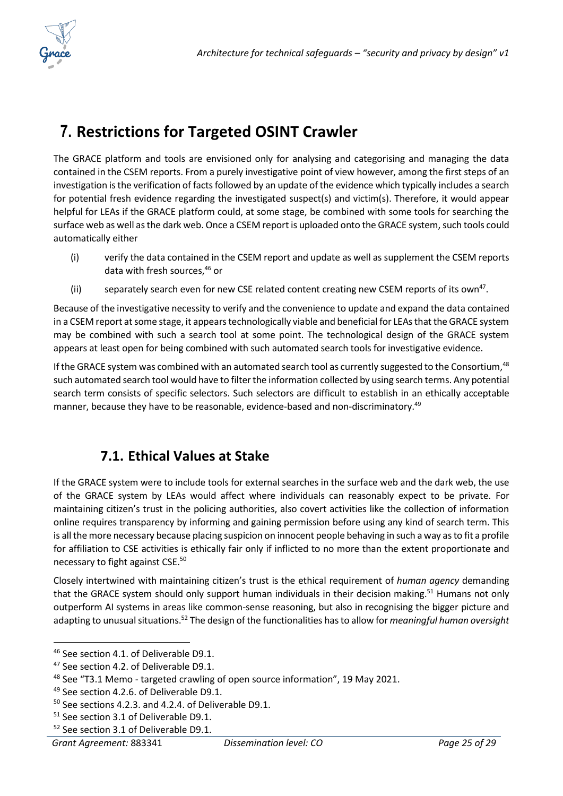

## <span id="page-24-0"></span>**7. Restrictions for Targeted OSINT Crawler**

The GRACE platform and tools are envisioned only for analysing and categorising and managing the data contained in the CSEM reports. From a purely investigative point of view however, among the first steps of an investigation is the verification of facts followed by an update of the evidence which typically includes a search for potential fresh evidence regarding the investigated suspect(s) and victim(s). Therefore, it would appear helpful for LEAs if the GRACE platform could, at some stage, be combined with some tools for searching the surface web as well as the dark web. Once a CSEM report is uploaded onto the GRACE system, such tools could automatically either

- (i) verify the data contained in the CSEM report and update as well as supplement the CSEM reports data with fresh sources, <sup>46</sup> or
- (ii) separately search even for new CSE related content creating new CSEM reports of its own<sup>47</sup>.

Because of the investigative necessity to verify and the convenience to update and expand the data contained in a CSEM report at some stage, it appears technologically viable and beneficial for LEAs that the GRACE system may be combined with such a search tool at some point. The technological design of the GRACE system appears at least open for being combined with such automated search tools for investigative evidence.

If the GRACE system was combined with an automated search tool as currently suggested to the Consortium,<sup>48</sup> such automated search tool would have to filter the information collected by using search terms. Any potential search term consists of specific selectors. Such selectors are difficult to establish in an ethically acceptable manner, because they have to be reasonable, evidence-based and non-discriminatory.<sup>49</sup>

### **7.1. Ethical Values at Stake**

<span id="page-24-1"></span>If the GRACE system were to include tools for external searches in the surface web and the dark web, the use of the GRACE system by LEAs would affect where individuals can reasonably expect to be private. For maintaining citizen's trust in the policing authorities, also covert activities like the collection of information online requires transparency by informing and gaining permission before using any kind of search term. This is all the more necessary because placing suspicion on innocent people behaving in such a way as to fit a profile for affiliation to CSE activities is ethically fair only if inflicted to no more than the extent proportionate and necessary to fight against CSE.<sup>50</sup>

Closely intertwined with maintaining citizen's trust is the ethical requirement of *human agency* demanding that the GRACE system should only support human individuals in their decision making.<sup>51</sup> Humans not only outperform AI systems in areas like common-sense reasoning, but also in recognising the bigger picture and adapting to unusual situations.<sup>52</sup> The design of the functionalities has to allow for *meaningful human oversight*

<sup>46</sup> See section 4.1. of Deliverable D9.1.

<sup>&</sup>lt;sup>47</sup> See section 4.2. of Deliverable D9.1.

<sup>48</sup> See "T3.1 Memo - targeted crawling of open source information", 19 May 2021.

<sup>49</sup> See section 4.2.6. of Deliverable D9.1.

<sup>50</sup> See sections 4.2.3. and 4.2.4. of Deliverable D9.1.

<sup>51</sup> See section 3.1 of Deliverable D9.1.

<sup>52</sup> See section 3.1 of Deliverable D9.1.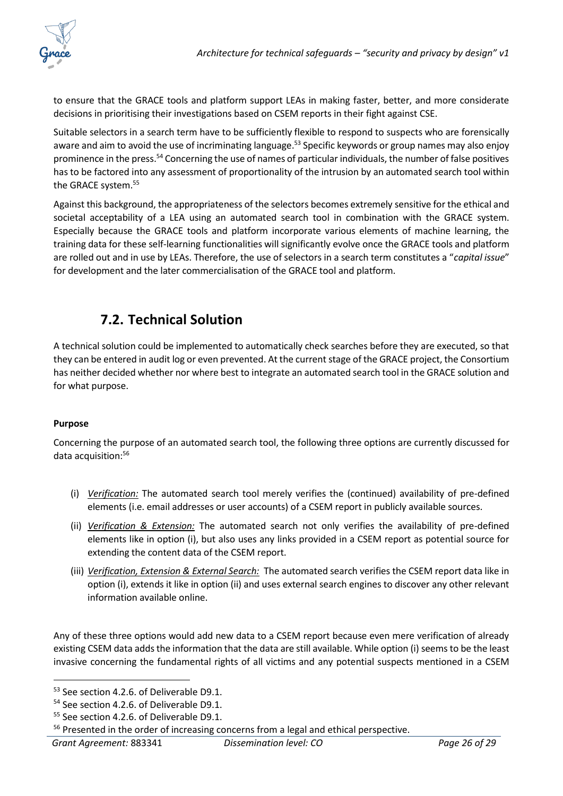

to ensure that the GRACE tools and platform support LEAs in making faster, better, and more considerate decisions in prioritising their investigations based on CSEM reports in their fight against CSE.

Suitable selectors in a search term have to be sufficiently flexible to respond to suspects who are forensically aware and aim to avoid the use of incriminating language.<sup>53</sup> Specific keywords or group names may also enjoy prominence in the press.<sup>54</sup> Concerning the use of names of particular individuals, the number of false positives has to be factored into any assessment of proportionality of the intrusion by an automated search tool within the GRACE system. 55

Against this background, the appropriateness of the selectors becomes extremely sensitive for the ethical and societal acceptability of a LEA using an automated search tool in combination with the GRACE system. Especially because the GRACE tools and platform incorporate various elements of machine learning, the training data for these self-learning functionalities will significantly evolve once the GRACE tools and platform are rolled out and in use by LEAs. Therefore, the use of selectors in a search term constitutes a "*capital issue*" for development and the later commercialisation of the GRACE tool and platform.

### **7.2. Technical Solution**

<span id="page-25-0"></span>A technical solution could be implemented to automatically check searches before they are executed, so that they can be entered in audit log or even prevented. At the current stage of the GRACE project, the Consortium has neither decided whether nor where best to integrate an automated search tool in the GRACE solution and for what purpose.

#### **Purpose**

Concerning the purpose of an automated search tool, the following three options are currently discussed for data acquisition: 56

- (i) *Verification:* The automated search tool merely verifies the (continued) availability of pre-defined elements (i.e. email addresses or user accounts) of a CSEM report in publicly available sources.
- (ii) *Verification & Extension:* The automated search not only verifies the availability of pre-defined elements like in option (i), but also uses any links provided in a CSEM report as potential source for extending the content data of the CSEM report.
- (iii) *Verification, Extension & External Search:* The automated search verifies the CSEM report data like in option (i), extends it like in option (ii) and uses external search engines to discover any other relevant information available online.

Any of these three options would add new data to a CSEM report because even mere verification of already existing CSEM data adds the information that the data are still available. While option (i) seems to be the least invasive concerning the fundamental rights of all victims and any potential suspects mentioned in a CSEM

<sup>&</sup>lt;sup>53</sup> See section 4.2.6. of Deliverable D9.1.

<sup>&</sup>lt;sup>54</sup> See section 4.2.6. of Deliverable D9.1.

<sup>&</sup>lt;sup>55</sup> See section 4.2.6. of Deliverable D9.1.

<sup>&</sup>lt;sup>56</sup> Presented in the order of increasing concerns from a legal and ethical perspective.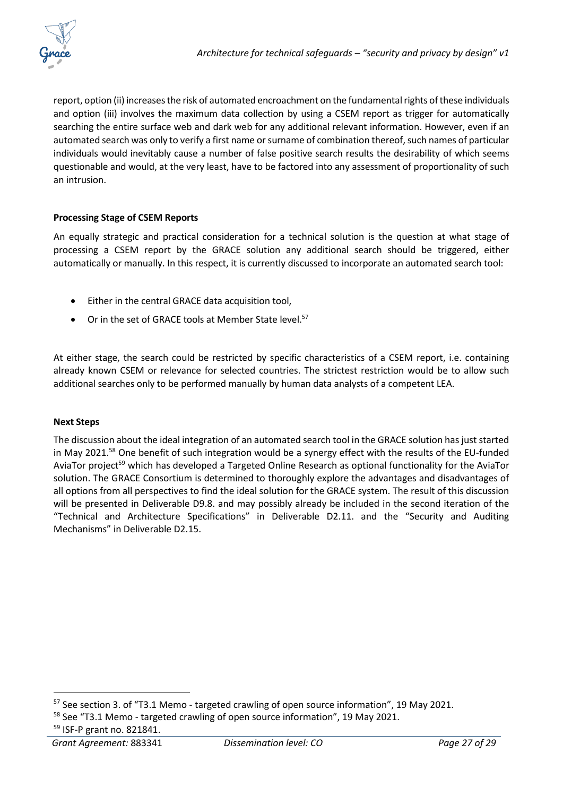report, option (ii) increases the risk of automated encroachment on the fundamental rights of these individuals and option (iii) involves the maximum data collection by using a CSEM report as trigger for automatically searching the entire surface web and dark web for any additional relevant information. However, even if an automated search was only to verify a first name or surname of combination thereof, such names of particular individuals would inevitably cause a number of false positive search results the desirability of which seems questionable and would, at the very least, have to be factored into any assessment of proportionality of such an intrusion.

#### **Processing Stage of CSEM Reports**

An equally strategic and practical consideration for a technical solution is the question at what stage of processing a CSEM report by the GRACE solution any additional search should be triggered, either automatically or manually. In this respect, it is currently discussed to incorporate an automated search tool:

- Either in the central GRACE data acquisition tool,
- Or in the set of GRACE tools at Member State level.<sup>57</sup>

At either stage, the search could be restricted by specific characteristics of a CSEM report, i.e. containing already known CSEM or relevance for selected countries. The strictest restriction would be to allow such additional searches only to be performed manually by human data analysts of a competent LEA.

#### **Next Steps**

The discussion about the ideal integration of an automated search tool in the GRACE solution has just started in May 2021.<sup>58</sup> One benefit of such integration would be a synergy effect with the results of the EU-funded AviaTor project<sup>59</sup> which has developed a Targeted Online Research as optional functionality for the AviaTor solution. The GRACE Consortium is determined to thoroughly explore the advantages and disadvantages of all options from all perspectives to find the ideal solution for the GRACE system. The result of this discussion will be presented in Deliverable D9.8. and may possibly already be included in the second iteration of the "Technical and Architecture Specifications" in Deliverable D2.11. and the "Security and Auditing Mechanisms" in Deliverable D2.15.

<sup>&</sup>lt;sup>57</sup> See section 3. of "T3.1 Memo - targeted crawling of open source information", 19 May 2021.

<sup>58</sup> See "T3.1 Memo - targeted crawling of open source information", 19 May 2021.

<sup>59</sup> ISF-P grant no. 821841.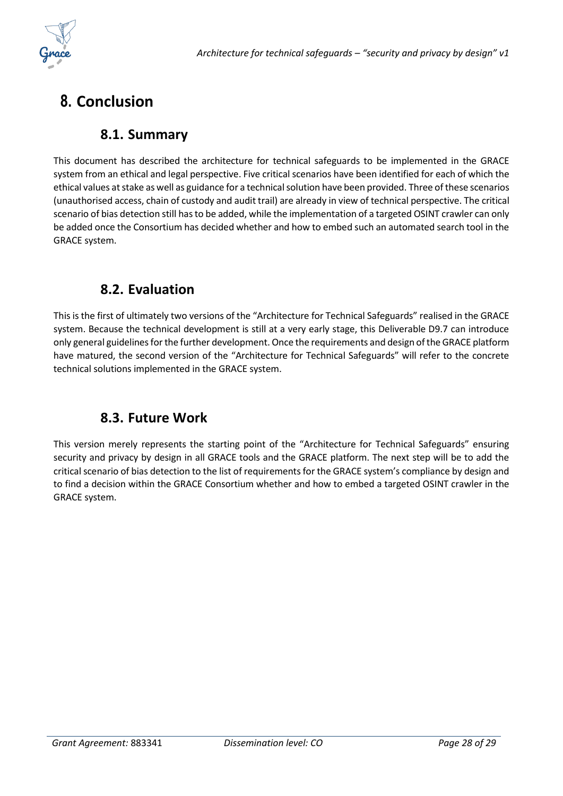

## <span id="page-27-1"></span><span id="page-27-0"></span>**8. Conclusion**

#### **8.1. Summary**

This document has described the architecture for technical safeguards to be implemented in the GRACE system from an ethical and legal perspective. Five critical scenarios have been identified for each of which the ethical values at stake as well as guidance for a technical solution have been provided. Three of these scenarios (unauthorised access, chain of custody and audit trail) are already in view of technical perspective. The critical scenario of bias detection still hasto be added, while the implementation of a targeted OSINT crawler can only be added once the Consortium has decided whether and how to embed such an automated search tool in the GRACE system.

#### **8.2. Evaluation**

<span id="page-27-2"></span>This is the first of ultimately two versions of the "Architecture for Technical Safeguards" realised in the GRACE system. Because the technical development is still at a very early stage, this Deliverable D9.7 can introduce only general guidelines for the further development. Once the requirements and design of the GRACE platform have matured, the second version of the "Architecture for Technical Safeguards" will refer to the concrete technical solutions implemented in the GRACE system.

### **8.3. Future Work**

<span id="page-27-3"></span>This version merely represents the starting point of the "Architecture for Technical Safeguards" ensuring security and privacy by design in all GRACE tools and the GRACE platform. The next step will be to add the critical scenario of bias detection to the list of requirements for the GRACE system's compliance by design and to find a decision within the GRACE Consortium whether and how to embed a targeted OSINT crawler in the GRACE system.